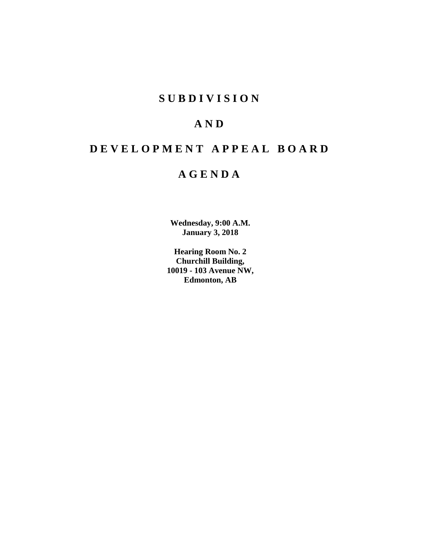## **SUBDIVISION**

## **AND**

# **DEVELOPMENT APPEAL BOARD**

## **AGENDA**

**Wednesday, 9:00 A.M. January 3, 2018**

**Hearing Room No. 2 Churchill Building, 10019 - 103 Avenue NW, Edmonton, AB**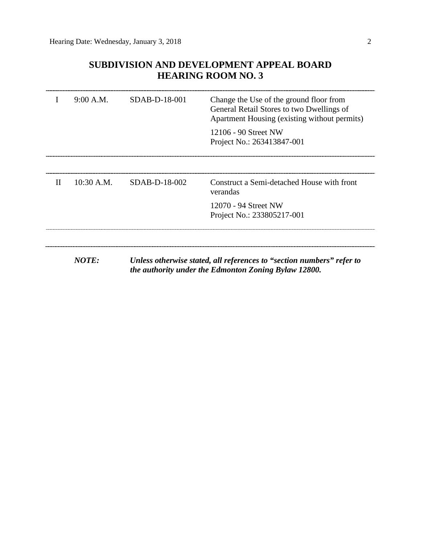## **SUBDIVISION AND DEVELOPMENT APPEAL BOARD HEARING ROOM NO. 3**

|             | 9:00 A.M.    | SDAB-D-18-001 | Change the Use of the ground floor from<br>General Retail Stores to two Dwellings of<br>Apartment Housing (existing without permits)<br>12106 - 90 Street NW<br>Project No.: 263413847-001 |
|-------------|--------------|---------------|--------------------------------------------------------------------------------------------------------------------------------------------------------------------------------------------|
|             |              |               |                                                                                                                                                                                            |
| $_{\rm II}$ | $10:30$ A.M. | SDAB-D-18-002 | Construct a Semi-detached House with front<br>verandas                                                                                                                                     |
|             |              |               | 12070 - 94 Street NW<br>Project No.: 233805217-001                                                                                                                                         |
|             |              |               |                                                                                                                                                                                            |
|             | NOTE:        |               | Unless otherwise stated, all references to "section numbers" refer to<br>the authority under the Edmonton Zoning Bylaw 12800.                                                              |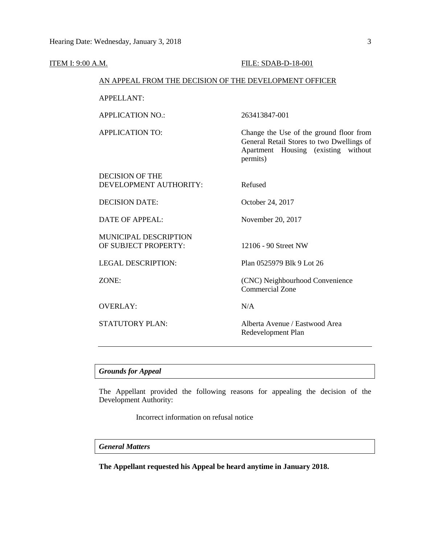| ITEM I: 9:00 A.M. |                                                        | FILE: SDAB-D-18-001                                                                                                                     |  |
|-------------------|--------------------------------------------------------|-----------------------------------------------------------------------------------------------------------------------------------------|--|
|                   | AN APPEAL FROM THE DECISION OF THE DEVELOPMENT OFFICER |                                                                                                                                         |  |
|                   | <b>APPELLANT:</b>                                      |                                                                                                                                         |  |
|                   | <b>APPLICATION NO.:</b>                                | 263413847-001                                                                                                                           |  |
|                   | <b>APPLICATION TO:</b>                                 | Change the Use of the ground floor from<br>General Retail Stores to two Dwellings of<br>Apartment Housing (existing without<br>permits) |  |
|                   | <b>DECISION OF THE</b><br>DEVELOPMENT AUTHORITY:       | Refused                                                                                                                                 |  |
|                   | <b>DECISION DATE:</b>                                  | October 24, 2017                                                                                                                        |  |
|                   | <b>DATE OF APPEAL:</b>                                 | November 20, 2017                                                                                                                       |  |
|                   | MUNICIPAL DESCRIPTION<br>OF SUBJECT PROPERTY:          | 12106 - 90 Street NW                                                                                                                    |  |
|                   | <b>LEGAL DESCRIPTION:</b>                              | Plan 0525979 Blk 9 Lot 26                                                                                                               |  |
|                   | ZONE:                                                  | (CNC) Neighbourhood Convenience<br><b>Commercial Zone</b>                                                                               |  |
|                   | <b>OVERLAY:</b>                                        | N/A                                                                                                                                     |  |
|                   | <b>STATUTORY PLAN:</b>                                 | Alberta Avenue / Eastwood Area<br>Redevelopment Plan                                                                                    |  |
|                   |                                                        |                                                                                                                                         |  |

## *Grounds for Appeal*

The Appellant provided the following reasons for appealing the decision of the Development Authority:

Incorrect information on refusal notice

## *General Matters*

**The Appellant requested his Appeal be heard anytime in January 2018.**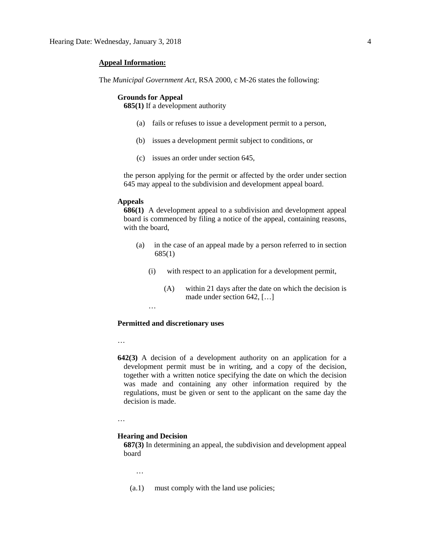### **Appeal Information:**

The *Municipal Government Act*, RSA 2000, c M-26 states the following:

### **Grounds for Appeal**

**685(1)** If a development authority

- (a) fails or refuses to issue a development permit to a person,
- (b) issues a development permit subject to conditions, or
- (c) issues an order under section 645,

the person applying for the permit or affected by the order under section 645 may appeal to the subdivision and development appeal board.

#### **Appeals**

**686(1)** A development appeal to a subdivision and development appeal board is commenced by filing a notice of the appeal, containing reasons, with the board,

- (a) in the case of an appeal made by a person referred to in section 685(1)
	- (i) with respect to an application for a development permit,
		- (A) within 21 days after the date on which the decision is made under section 642, […]

…

### **Permitted and discretionary uses**

…

**642(3)** A decision of a development authority on an application for a development permit must be in writing, and a copy of the decision, together with a written notice specifying the date on which the decision was made and containing any other information required by the regulations, must be given or sent to the applicant on the same day the decision is made.

…

#### **Hearing and Decision**

**687(3)** In determining an appeal, the subdivision and development appeal board

…

(a.1) must comply with the land use policies;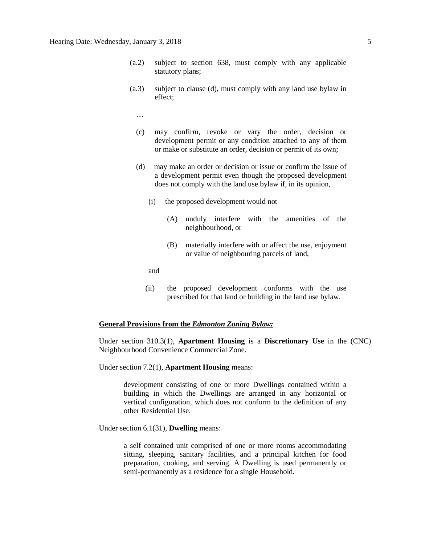- (a.2) subject to section 638, must comply with any applicable statutory plans;
- (a.3) subject to clause (d), must comply with any land use bylaw in effect;
	- …
	- (c) may confirm, revoke or vary the order, decision or development permit or any condition attached to any of them or make or substitute an order, decision or permit of its own;
	- (d) may make an order or decision or issue or confirm the issue of a development permit even though the proposed development does not comply with the land use bylaw if, in its opinion,
		- (i) the proposed development would not
			- (A) unduly interfere with the amenities of the neighbourhood, or
			- (B) materially interfere with or affect the use, enjoyment or value of neighbouring parcels of land,

and

(ii) the proposed development conforms with the use prescribed for that land or building in the land use bylaw.

#### **General Provisions from the** *Edmonton Zoning Bylaw:*

Under section 310.3(1), **Apartment Housing** is a **Discretionary Use** in the (CNC) Neighbourhood Convenience Commercial Zone.

Under section 7.2(1), **Apartment Housing** means:

development consisting of one or more Dwellings contained within a building in which the Dwellings are arranged in any horizontal or vertical configuration, which does not conform to the definition of any other Residential Use.

Under section 6.1(31), **Dwelling** means:

a self contained unit comprised of one or more rooms accommodating sitting, sleeping, sanitary facilities, and a principal kitchen for food preparation, cooking, and serving. A Dwelling is used permanently or semi-permanently as a residence for a single Household.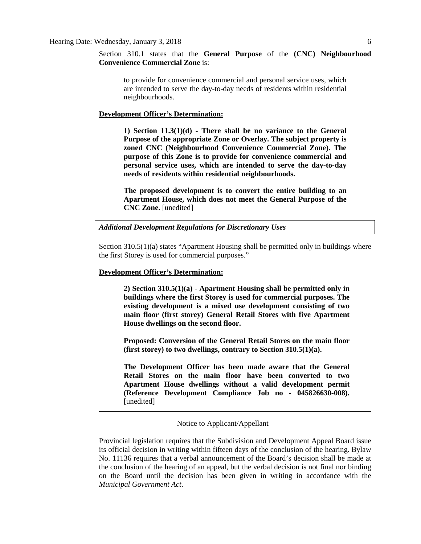Section 310.1 states that the **General Purpose** of the **(CNC) Neighbourhood Convenience Commercial Zone** is:

to provide for convenience commercial and personal service uses, which are intended to serve the day-to-day needs of residents within residential neighbourhoods.

## **Development Officer's Determination:**

**1) Section 11.3(1)(d) - There shall be no variance to the General Purpose of the appropriate Zone or Overlay. The subject property is zoned CNC (Neighbourhood Convenience Commercial Zone). The purpose of this Zone is to provide for convenience commercial and personal service uses, which are intended to serve the day-to-day needs of residents within residential neighbourhoods.**

**The proposed development is to convert the entire building to an Apartment House, which does not meet the General Purpose of the CNC Zone.** [unedited]

*Additional Development Regulations for Discretionary Uses*

Section 310.5(1)(a) states "Apartment Housing shall be permitted only in buildings where the first Storey is used for commercial purposes."

#### **Development Officer's Determination:**

**2) Section 310.5(1)(a) - Apartment Housing shall be permitted only in buildings where the first Storey is used for commercial purposes. The existing development is a mixed use development consisting of two main floor (first storey) General Retail Stores with five Apartment House dwellings on the second floor.**

**Proposed: Conversion of the General Retail Stores on the main floor (first storey) to two dwellings, contrary to Section 310.5(1)(a).**

**The Development Officer has been made aware that the General Retail Stores on the main floor have been converted to two Apartment House dwellings without a valid development permit (Reference Development Compliance Job no - 045826630-008).** [unedited]

## Notice to Applicant/Appellant

Provincial legislation requires that the Subdivision and Development Appeal Board issue its official decision in writing within fifteen days of the conclusion of the hearing. Bylaw No. 11136 requires that a verbal announcement of the Board's decision shall be made at the conclusion of the hearing of an appeal, but the verbal decision is not final nor binding on the Board until the decision has been given in writing in accordance with the *Municipal Government Act*.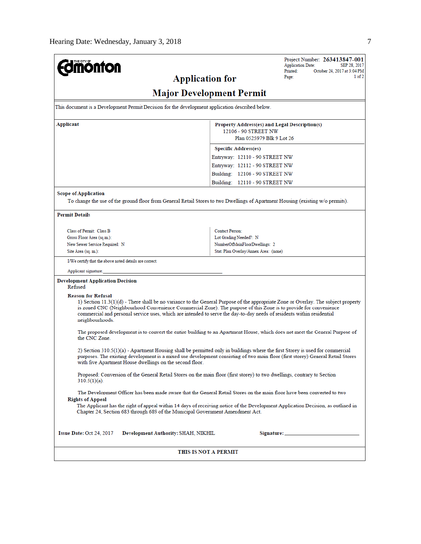| <b>Imónton</b>                                                                                                                                                                                                                                                                                                                                                                                                                   |                                                            | Project Number: 263413847-001<br><b>Application Date:</b><br>SEP 28, 2017 |  |  |  |  |
|----------------------------------------------------------------------------------------------------------------------------------------------------------------------------------------------------------------------------------------------------------------------------------------------------------------------------------------------------------------------------------------------------------------------------------|------------------------------------------------------------|---------------------------------------------------------------------------|--|--|--|--|
|                                                                                                                                                                                                                                                                                                                                                                                                                                  | Printed:<br>October 24, 2017 at 3:04 PM<br>1 of 2<br>Page: |                                                                           |  |  |  |  |
| <b>Application for</b>                                                                                                                                                                                                                                                                                                                                                                                                           |                                                            |                                                                           |  |  |  |  |
|                                                                                                                                                                                                                                                                                                                                                                                                                                  | <b>Major Development Permit</b>                            |                                                                           |  |  |  |  |
| This document is a Development Permit Decision for the development application described below.                                                                                                                                                                                                                                                                                                                                  |                                                            |                                                                           |  |  |  |  |
| Applicant<br>Property Address(es) and Legal Description(s)<br>12106 - 90 STREET NW<br>Plan 0525979 Blk 9 Lot 26                                                                                                                                                                                                                                                                                                                  |                                                            |                                                                           |  |  |  |  |
|                                                                                                                                                                                                                                                                                                                                                                                                                                  | <b>Specific Address(es)</b>                                |                                                                           |  |  |  |  |
|                                                                                                                                                                                                                                                                                                                                                                                                                                  | Entryway: 12110 - 90 STREET NW                             |                                                                           |  |  |  |  |
|                                                                                                                                                                                                                                                                                                                                                                                                                                  | Entryway: 12112 - 90 STREET NW                             |                                                                           |  |  |  |  |
|                                                                                                                                                                                                                                                                                                                                                                                                                                  | Building: 12106 - 90 STREET NW                             |                                                                           |  |  |  |  |
|                                                                                                                                                                                                                                                                                                                                                                                                                                  | Building: 12110 - 90 STREET NW                             |                                                                           |  |  |  |  |
|                                                                                                                                                                                                                                                                                                                                                                                                                                  |                                                            |                                                                           |  |  |  |  |
| <b>Scope of Application</b>                                                                                                                                                                                                                                                                                                                                                                                                      |                                                            |                                                                           |  |  |  |  |
| To change the use of the ground floor from General Retail Stores to two Dwellings of Apartment Housing (existing w/o permits).                                                                                                                                                                                                                                                                                                   |                                                            |                                                                           |  |  |  |  |
| <b>Permit Details</b>                                                                                                                                                                                                                                                                                                                                                                                                            |                                                            |                                                                           |  |  |  |  |
| Class of Permit: Class B                                                                                                                                                                                                                                                                                                                                                                                                         | <b>Contact Person:</b>                                     |                                                                           |  |  |  |  |
| Gross Floor Area (sq.m.):                                                                                                                                                                                                                                                                                                                                                                                                        | Lot Grading Needed?: N                                     |                                                                           |  |  |  |  |
| New Sewer Service Required: N                                                                                                                                                                                                                                                                                                                                                                                                    | NumberOfMainFloorDwellings: 2                              |                                                                           |  |  |  |  |
| Site Area (sq. m.):                                                                                                                                                                                                                                                                                                                                                                                                              | Stat. Plan Overlay/Annex Area: (none)                      |                                                                           |  |  |  |  |
| I/We certify that the above noted details are correct.                                                                                                                                                                                                                                                                                                                                                                           |                                                            |                                                                           |  |  |  |  |
| Applicant signature:                                                                                                                                                                                                                                                                                                                                                                                                             |                                                            |                                                                           |  |  |  |  |
| <b>Development Application Decision</b><br>Refused                                                                                                                                                                                                                                                                                                                                                                               |                                                            |                                                                           |  |  |  |  |
| <b>Reason for Refusal</b><br>1) Section 11.3(1)(d) - There shall be no variance to the General Purpose of the appropriate Zone or Overlay. The subject property<br>is zoned CNC (Neighbourhood Convenience Commercial Zone). The purpose of this Zone is to provide for convenience<br>commercial and personal service uses, which are intended to serve the day-to-day needs of residents within residential<br>neighbourhoods. |                                                            |                                                                           |  |  |  |  |
| The proposed development is to convert the entire building to an Apartment House, which does not meet the General Purpose of<br>the CNC Zone.                                                                                                                                                                                                                                                                                    |                                                            |                                                                           |  |  |  |  |
| 2) Section 310.5(1)(a) - Apartment Housing shall be permitted only in buildings where the first Storey is used for commercial<br>purposes. The existing development is a mixed use development consisting of two main floor (first storey) General Retail Stores<br>with five Apartment House dwellings on the second floor.                                                                                                     |                                                            |                                                                           |  |  |  |  |
| Proposed: Conversion of the General Retail Stores on the main floor (first storey) to two dwellings, contrary to Section<br>$310.5(1)(a)$ .                                                                                                                                                                                                                                                                                      |                                                            |                                                                           |  |  |  |  |
| The Development Officer has been made aware that the General Retail Stores on the main floor have been converted to two<br><b>Rights of Appeal</b>                                                                                                                                                                                                                                                                               |                                                            |                                                                           |  |  |  |  |
| The Applicant has the right of appeal within 14 days of receiving notice of the Development Application Decision, as outlined in<br>Chapter 24, Section 683 through 689 of the Municipal Government Amendment Act.                                                                                                                                                                                                               |                                                            |                                                                           |  |  |  |  |
| Issue Date: Oct 24, 2017<br>Development Authority: SHAH, NIKHIL<br>Signature:______________                                                                                                                                                                                                                                                                                                                                      |                                                            |                                                                           |  |  |  |  |
| THIS IS NOT A PERMIT                                                                                                                                                                                                                                                                                                                                                                                                             |                                                            |                                                                           |  |  |  |  |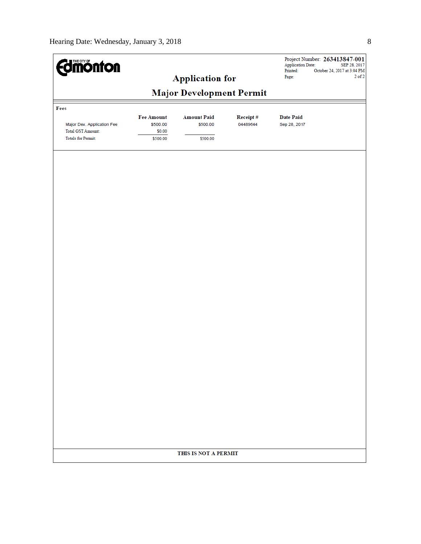| <b><i><u>alimonton</u></i></b><br><b>Application for</b> |                                         |                                 | <b>Application Date:</b><br>Printed:<br>Page: | Project Number: 263413847-001<br>SEP 28, 2017<br>October 24, 2017 at 3:04 PM<br>$2$ of $2$ |  |
|----------------------------------------------------------|-----------------------------------------|---------------------------------|-----------------------------------------------|--------------------------------------------------------------------------------------------|--|
|                                                          |                                         | <b>Major Development Permit</b> |                                               |                                                                                            |  |
|                                                          |                                         |                                 |                                               |                                                                                            |  |
| Fees                                                     |                                         |                                 |                                               |                                                                                            |  |
| Major Dev. Application Fee<br><b>Total GST Amount:</b>   | <b>Fee Amount</b><br>\$500.00<br>\$0.00 | <b>Amount Paid</b><br>\$500.00  | Receipt#<br>04489644                          | <b>Date Paid</b><br>Sep 28, 2017                                                           |  |
| <b>Totals for Permit:</b>                                | \$500.00                                | \$500.00                        |                                               |                                                                                            |  |
|                                                          |                                         |                                 |                                               |                                                                                            |  |
|                                                          |                                         |                                 |                                               |                                                                                            |  |
|                                                          |                                         |                                 |                                               |                                                                                            |  |
|                                                          |                                         |                                 |                                               |                                                                                            |  |
|                                                          |                                         |                                 |                                               |                                                                                            |  |
|                                                          |                                         |                                 |                                               |                                                                                            |  |
|                                                          |                                         |                                 |                                               |                                                                                            |  |
|                                                          |                                         |                                 |                                               |                                                                                            |  |
|                                                          |                                         |                                 |                                               |                                                                                            |  |
|                                                          |                                         |                                 |                                               |                                                                                            |  |
|                                                          |                                         |                                 |                                               |                                                                                            |  |
|                                                          |                                         |                                 |                                               |                                                                                            |  |
|                                                          |                                         |                                 |                                               |                                                                                            |  |
|                                                          |                                         |                                 |                                               |                                                                                            |  |
|                                                          |                                         |                                 |                                               |                                                                                            |  |
|                                                          |                                         |                                 |                                               |                                                                                            |  |
|                                                          |                                         |                                 |                                               |                                                                                            |  |
|                                                          |                                         |                                 |                                               |                                                                                            |  |
|                                                          |                                         |                                 |                                               |                                                                                            |  |
|                                                          |                                         |                                 |                                               |                                                                                            |  |
|                                                          |                                         |                                 |                                               |                                                                                            |  |
|                                                          |                                         |                                 |                                               |                                                                                            |  |
|                                                          |                                         |                                 |                                               |                                                                                            |  |
|                                                          |                                         | THIS IS NOT A PERMIT            |                                               |                                                                                            |  |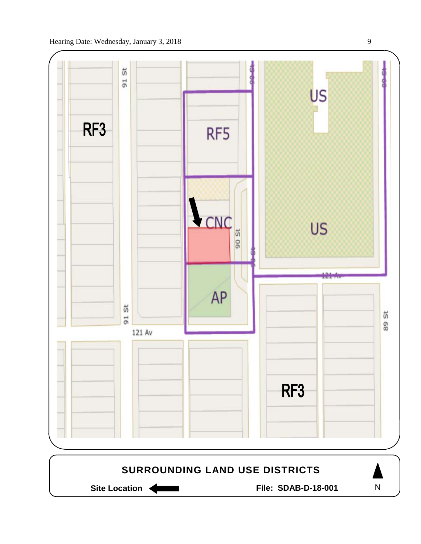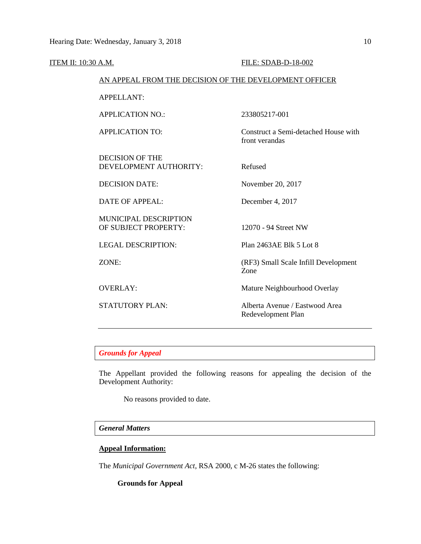| ITEM II: 10:30 A.M. |                                                        | FILE: SDAB-D-18-002                                    |
|---------------------|--------------------------------------------------------|--------------------------------------------------------|
|                     | AN APPEAL FROM THE DECISION OF THE DEVELOPMENT OFFICER |                                                        |
|                     | <b>APPELLANT:</b>                                      |                                                        |
|                     | <b>APPLICATION NO.:</b>                                | 233805217-001                                          |
|                     | <b>APPLICATION TO:</b>                                 | Construct a Semi-detached House with<br>front verandas |
|                     | <b>DECISION OF THE</b><br>DEVELOPMENT AUTHORITY:       | Refused                                                |
|                     | <b>DECISION DATE:</b>                                  | November 20, 2017                                      |
|                     | <b>DATE OF APPEAL:</b>                                 | December 4, 2017                                       |
|                     | <b>MUNICIPAL DESCRIPTION</b><br>OF SUBJECT PROPERTY:   | 12070 - 94 Street NW                                   |
|                     | <b>LEGAL DESCRIPTION:</b>                              | Plan 2463AE Blk 5 Lot 8                                |
|                     | ZONE:                                                  | (RF3) Small Scale Infill Development<br>Zone           |
|                     | <b>OVERLAY:</b>                                        | Mature Neighbourhood Overlay                           |
|                     | <b>STATUTORY PLAN:</b>                                 | Alberta Avenue / Eastwood Area<br>Redevelopment Plan   |
|                     |                                                        |                                                        |

*Grounds for Appeal*

The Appellant provided the following reasons for appealing the decision of the Development Authority:

No reasons provided to date.

## *General Matters*

## **Appeal Information:**

The *Municipal Government Act*, RSA 2000, c M-26 states the following:

## **Grounds for Appeal**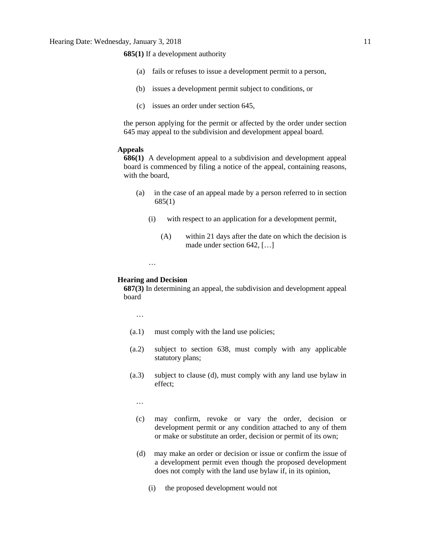**685(1)** If a development authority

- (a) fails or refuses to issue a development permit to a person,
- (b) issues a development permit subject to conditions, or
- (c) issues an order under section 645,

the person applying for the permit or affected by the order under section 645 may appeal to the subdivision and development appeal board.

## **Appeals**

**686(1)** A development appeal to a subdivision and development appeal board is commenced by filing a notice of the appeal, containing reasons, with the board,

- (a) in the case of an appeal made by a person referred to in section 685(1)
	- (i) with respect to an application for a development permit,
		- (A) within 21 days after the date on which the decision is made under section 642, […]
	- …

### **Hearing and Decision**

**687(3)** In determining an appeal, the subdivision and development appeal board

…

- (a.1) must comply with the land use policies;
- (a.2) subject to section 638, must comply with any applicable statutory plans;
- (a.3) subject to clause (d), must comply with any land use bylaw in effect;

…

- (c) may confirm, revoke or vary the order, decision or development permit or any condition attached to any of them or make or substitute an order, decision or permit of its own;
- (d) may make an order or decision or issue or confirm the issue of a development permit even though the proposed development does not comply with the land use bylaw if, in its opinion,
	- (i) the proposed development would not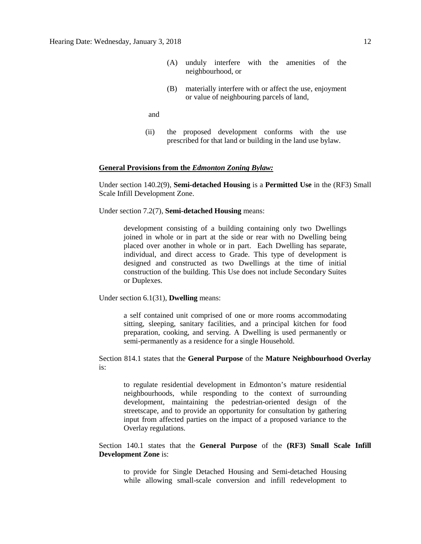- (A) unduly interfere with the amenities of the neighbourhood, or
- (B) materially interfere with or affect the use, enjoyment or value of neighbouring parcels of land,

and

(ii) the proposed development conforms with the use prescribed for that land or building in the land use bylaw.

## **General Provisions from the** *Edmonton Zoning Bylaw:*

Under section 140.2(9), **Semi-detached Housing** is a **Permitted Use** in the (RF3) Small Scale Infill Development Zone.

Under section 7.2(7), **Semi-detached Housing** means:

development consisting of a building containing only two Dwellings joined in whole or in part at the side or rear with no Dwelling being placed over another in whole or in part. Each Dwelling has separate, individual, and direct access to Grade. This type of development is designed and constructed as two Dwellings at the time of initial construction of the building. This Use does not include Secondary Suites or Duplexes.

Under section 6.1(31), **Dwelling** means:

a self contained unit comprised of one or more rooms accommodating sitting, sleeping, sanitary facilities, and a principal kitchen for food preparation, cooking, and serving. A Dwelling is used permanently or semi-permanently as a residence for a single Household.

Section 814.1 states that the **General Purpose** of the **Mature Neighbourhood Overlay** is:

to regulate residential development in Edmonton's mature residential neighbourhoods, while responding to the context of surrounding development, maintaining the pedestrian-oriented design of the streetscape, and to provide an opportunity for consultation by gathering input from affected parties on the impact of a proposed variance to the Overlay regulations.

Section 140.1 states that the **General Purpose** of the **(RF3) Small Scale Infill Development Zone** is:

to provide for Single Detached Housing and Semi-detached Housing while allowing small-scale conversion and infill redevelopment to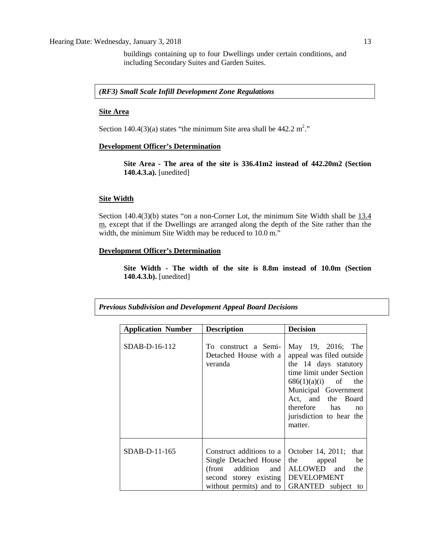buildings containing up to four Dwellings under certain conditions, and including Secondary Suites and Garden Suites.

## *(RF3) Small Scale Infill Development Zone Regulations*

#### **Site Area**

Section 140.4(3)(a) states "the minimum Site area shall be  $442.2 \text{ m}^2$ ."

### **Development Officer's Determination**

**Site Area - The area of the site is 336.41m2 instead of 442.20m2 (Section 140.4.3.a).** [unedited]

## **Site Width**

Section 140.4(3)(b) states "on a non-Corner Lot, the minimum Site Width shall be 13.4 m, except that if the Dwellings are arranged along the depth of the Site rather than the width, the minimum Site Width may be reduced to 10.0 m."

## **Development Officer's Determination**

**Site Width - The width of the site is 8.8m instead of 10.0m (Section 140.4.3.b).** [unedited]

|  |  |  |  | <b>Previous Subdivision and Development Appeal Board Decisions</b> |
|--|--|--|--|--------------------------------------------------------------------|
|--|--|--|--|--------------------------------------------------------------------|

| <b>Application Number</b> | <b>Description</b>                                                                                                                                  | <b>Decision</b>                                                                                                                                                                                                                         |
|---------------------------|-----------------------------------------------------------------------------------------------------------------------------------------------------|-----------------------------------------------------------------------------------------------------------------------------------------------------------------------------------------------------------------------------------------|
| SDAB-D-16-112             | To construct a Semi-<br>Detached House with a<br>veranda                                                                                            | May 19, 2016; The<br>appeal was filed outside<br>the 14 days statutory<br>time limit under Section<br>$686(1)(a)(i)$ of the<br>Municipal Government<br>Act, and the Board<br>therefore has<br>no<br>jurisdiction to hear the<br>matter. |
| SDAB-D-11-165             | Construct additions to a<br>Single Detached House<br>(front addition and<br>second storey existing   DEVELOPMENT<br>without permits) and to $\vert$ | October 14, 2011; that<br>the<br>be<br>appeal<br>ALLOWED and<br>the<br>GRANTED subject to                                                                                                                                               |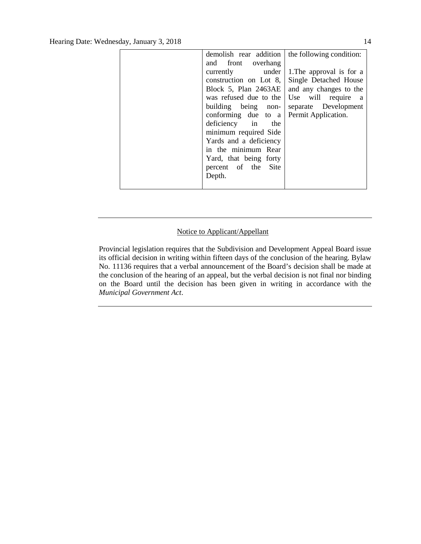| demolish rear addition | the following condition: |
|------------------------|--------------------------|
| and front overhang     |                          |
| currently under        | 1. The approval is for a |
| construction on Lot 8, | Single Detached House    |
| Block 5, Plan 2463AE   | and any changes to the   |
| was refused due to the | Use will require a       |
| building being non-    | separate Development     |
| conforming due to a    | Permit Application.      |
| deficiency in the      |                          |
| minimum required Side  |                          |
| Yards and a deficiency |                          |
| in the minimum Rear    |                          |
| Yard, that being forty |                          |
| percent of the Site    |                          |
| Depth.                 |                          |
|                        |                          |

## Notice to Applicant/Appellant

Provincial legislation requires that the Subdivision and Development Appeal Board issue its official decision in writing within fifteen days of the conclusion of the hearing. Bylaw No. 11136 requires that a verbal announcement of the Board's decision shall be made at the conclusion of the hearing of an appeal, but the verbal decision is not final nor binding on the Board until the decision has been given in writing in accordance with the *Municipal Government Act*.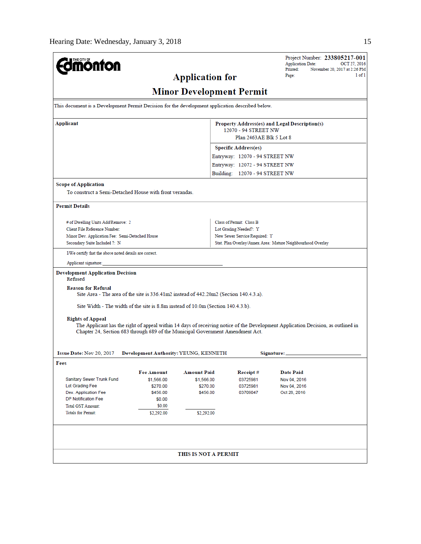| <b>mönton</b>                                                                                                                                                                                                                                                                                                |                                                                        |                                                                                                                                   | Project Number: 233805217-001<br><b>Application Date:</b><br>OCT 27, 2016<br>Printed:<br>November 20, 2017 at 2:26 PM<br>1 of 1<br>Page: |  |  |  |
|--------------------------------------------------------------------------------------------------------------------------------------------------------------------------------------------------------------------------------------------------------------------------------------------------------------|------------------------------------------------------------------------|-----------------------------------------------------------------------------------------------------------------------------------|------------------------------------------------------------------------------------------------------------------------------------------|--|--|--|
| <b>Application for</b><br><b>Minor Development Permit</b>                                                                                                                                                                                                                                                    |                                                                        |                                                                                                                                   |                                                                                                                                          |  |  |  |
| This document is a Development Permit Decision for the development application described below.                                                                                                                                                                                                              |                                                                        |                                                                                                                                   |                                                                                                                                          |  |  |  |
| Applicant<br>Property Address(es) and Legal Description(s)<br>12070 - 94 STREET NW<br>Plan 2463AE Blk 5 Lot 8                                                                                                                                                                                                |                                                                        |                                                                                                                                   |                                                                                                                                          |  |  |  |
|                                                                                                                                                                                                                                                                                                              |                                                                        | <b>Specific Address(es)</b><br>Entryway: 12070 - 94 STREET NW<br>Entryway: 12072 - 94 STREET NW<br>Building: 12070 - 94 STREET NW |                                                                                                                                          |  |  |  |
| <b>Scope of Application</b><br>To construct a Semi-Detached House with front verandas.                                                                                                                                                                                                                       |                                                                        |                                                                                                                                   |                                                                                                                                          |  |  |  |
| <b>Permit Details</b>                                                                                                                                                                                                                                                                                        |                                                                        |                                                                                                                                   |                                                                                                                                          |  |  |  |
| Class of Permit: Class B<br># of Dwelling Units Add/Remove: 2<br>Client File Reference Number:<br>Lot Grading Needed?: Y<br>New Sewer Service Required: Y<br>Minor Dev. Application Fee: Semi-Detached House<br>Secondary Suite Included ?: N<br>Stat. Plan Overlay/Annex Area: Mature Neighbourhood Overlay |                                                                        |                                                                                                                                   |                                                                                                                                          |  |  |  |
| I/We certify that the above noted details are correct.                                                                                                                                                                                                                                                       |                                                                        |                                                                                                                                   |                                                                                                                                          |  |  |  |
| Applicant signature:<br><b>Development Application Decision</b><br>Refused                                                                                                                                                                                                                                   |                                                                        |                                                                                                                                   |                                                                                                                                          |  |  |  |
| <b>Reason for Refusal</b><br>Site Area - The area of the site is 336.41m2 instead of 442.20m2 (Section 140.4.3.a).                                                                                                                                                                                           |                                                                        |                                                                                                                                   |                                                                                                                                          |  |  |  |
| Site Width - The width of the site is 8.8m instead of 10.0m (Section 140.4.3.b).                                                                                                                                                                                                                             |                                                                        |                                                                                                                                   |                                                                                                                                          |  |  |  |
| <b>Rights of Appeal</b><br>The Applicant has the right of appeal within 14 days of receiving notice of the Development Application Decision, as outlined in<br>Chapter 24, Section 683 through 689 of the Municipal Government Amendment Act.                                                                |                                                                        |                                                                                                                                   |                                                                                                                                          |  |  |  |
| Issue Date: Nov 20, 2017<br>Development Authority: YEUNG, KENNETH<br>Signature:<br>Fees                                                                                                                                                                                                                      |                                                                        |                                                                                                                                   |                                                                                                                                          |  |  |  |
| <b>Fee Amount</b><br>Sanitary Sewer Trunk Fund<br>\$1,566.00<br>Lot Grading Fee<br>\$270.00<br>Dev. Application Fee<br>\$456.00<br><b>DP Notification Fee</b><br>\$0.00<br>\$0.00<br><b>Total GST Amount:</b><br><b>Totals for Permit:</b><br>\$2,292.00                                                     | <b>Amount Paid</b><br>\$1,566.00<br>\$270.00<br>\$456.00<br>\$2,292.00 | Receipt#<br>03725981<br>03725981<br>03709047                                                                                      | <b>Date Paid</b><br>Nov 04, 2016<br>Nov 04, 2016<br>Oct 28, 2016                                                                         |  |  |  |
|                                                                                                                                                                                                                                                                                                              |                                                                        |                                                                                                                                   |                                                                                                                                          |  |  |  |
| THIS IS NOT A PERMIT                                                                                                                                                                                                                                                                                         |                                                                        |                                                                                                                                   |                                                                                                                                          |  |  |  |